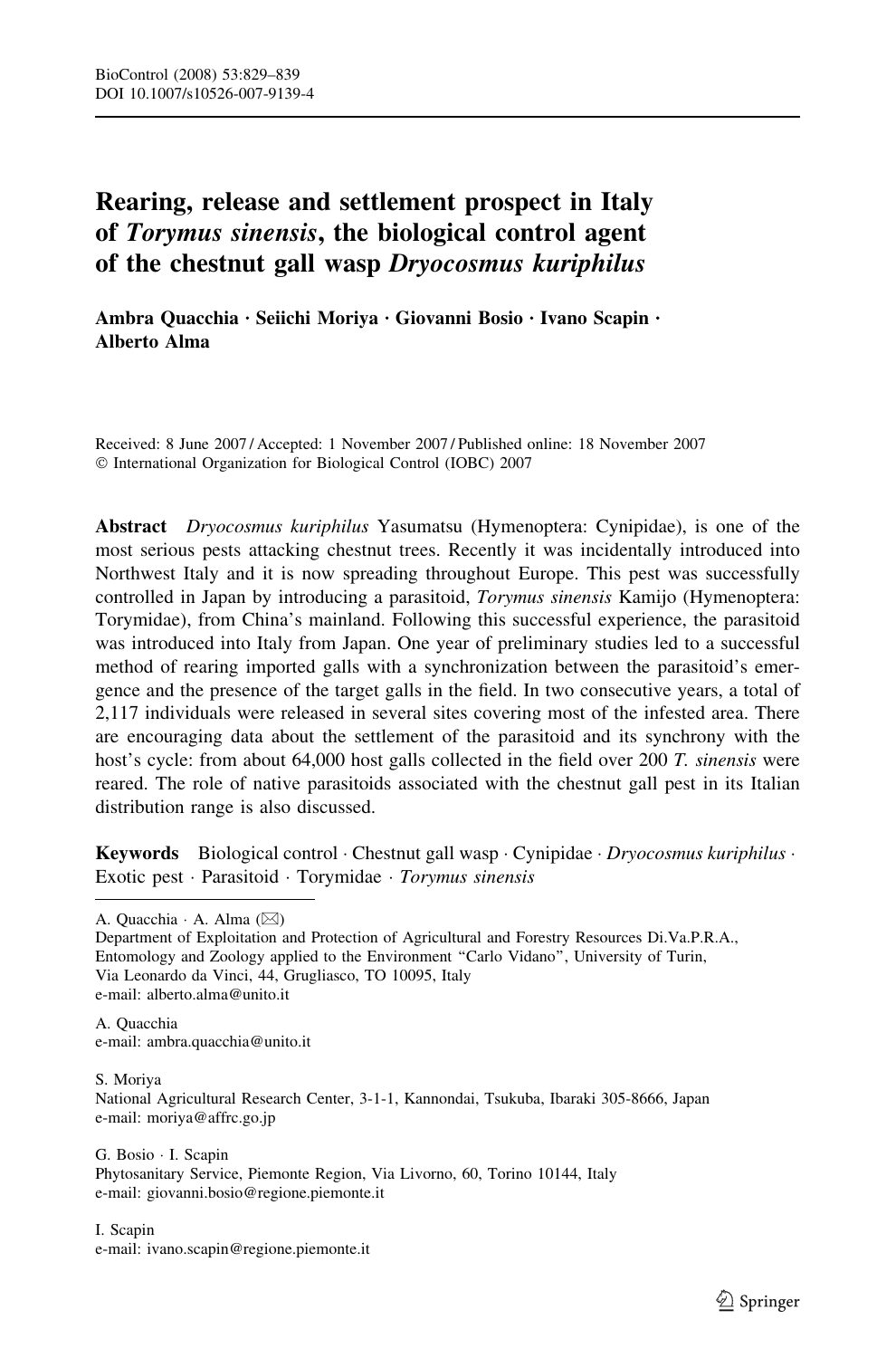# Rearing, release and settlement prospect in Italy of Torymus sinensis, the biological control agent of the chestnut gall wasp Dryocosmus kuriphilus

Ambra Quacchia · Seiichi Moriya · Giovanni Bosio · Ivano Scapin · Alberto Alma

Received: 8 June 2007 / Accepted: 1 November 2007 / Published online: 18 November 2007 International Organization for Biological Control (IOBC) 2007

Abstract Dryocosmus kuriphilus Yasumatsu (Hymenoptera: Cynipidae), is one of the most serious pests attacking chestnut trees. Recently it was incidentally introduced into Northwest Italy and it is now spreading throughout Europe. This pest was successfully controlled in Japan by introducing a parasitoid, Torymus sinensis Kamijo (Hymenoptera: Torymidae), from China's mainland. Following this successful experience, the parasitoid was introduced into Italy from Japan. One year of preliminary studies led to a successful method of rearing imported galls with a synchronization between the parasitoid's emergence and the presence of the target galls in the field. In two consecutive years, a total of 2,117 individuals were released in several sites covering most of the infested area. There are encouraging data about the settlement of the parasitoid and its synchrony with the host's cycle: from about 64,000 host galls collected in the field over 200 T. *sinensis* were reared. The role of native parasitoids associated with the chestnut gall pest in its Italian distribution range is also discussed.

**Keywords** Biological control  $\cdot$  Chestnut gall wasp  $\cdot$  Cynipidae  $\cdot$  Dryocosmus kuriphilus  $\cdot$ Exotic pest · Parasitoid · Torymidae · Torymus sinensis

A. Quacchia  $\cdot$  A. Alma ( $\boxtimes$ )

Department of Exploitation and Protection of Agricultural and Forestry Resources Di.Va.P.R.A., Entomology and Zoology applied to the Environment ''Carlo Vidano'', University of Turin, Via Leonardo da Vinci, 44, Grugliasco, TO 10095, Italy e-mail: alberto.alma@unito.it

A. Quacchia e-mail: ambra.quacchia@unito.it

S. Moriya

National Agricultural Research Center, 3-1-1, Kannondai, Tsukuba, Ibaraki 305-8666, Japan e-mail: moriya@affrc.go.jp

G. Bosio · I. Scapin Phytosanitary Service, Piemonte Region, Via Livorno, 60, Torino 10144, Italy e-mail: giovanni.bosio@regione.piemonte.it

I. Scapin e-mail: ivano.scapin@regione.piemonte.it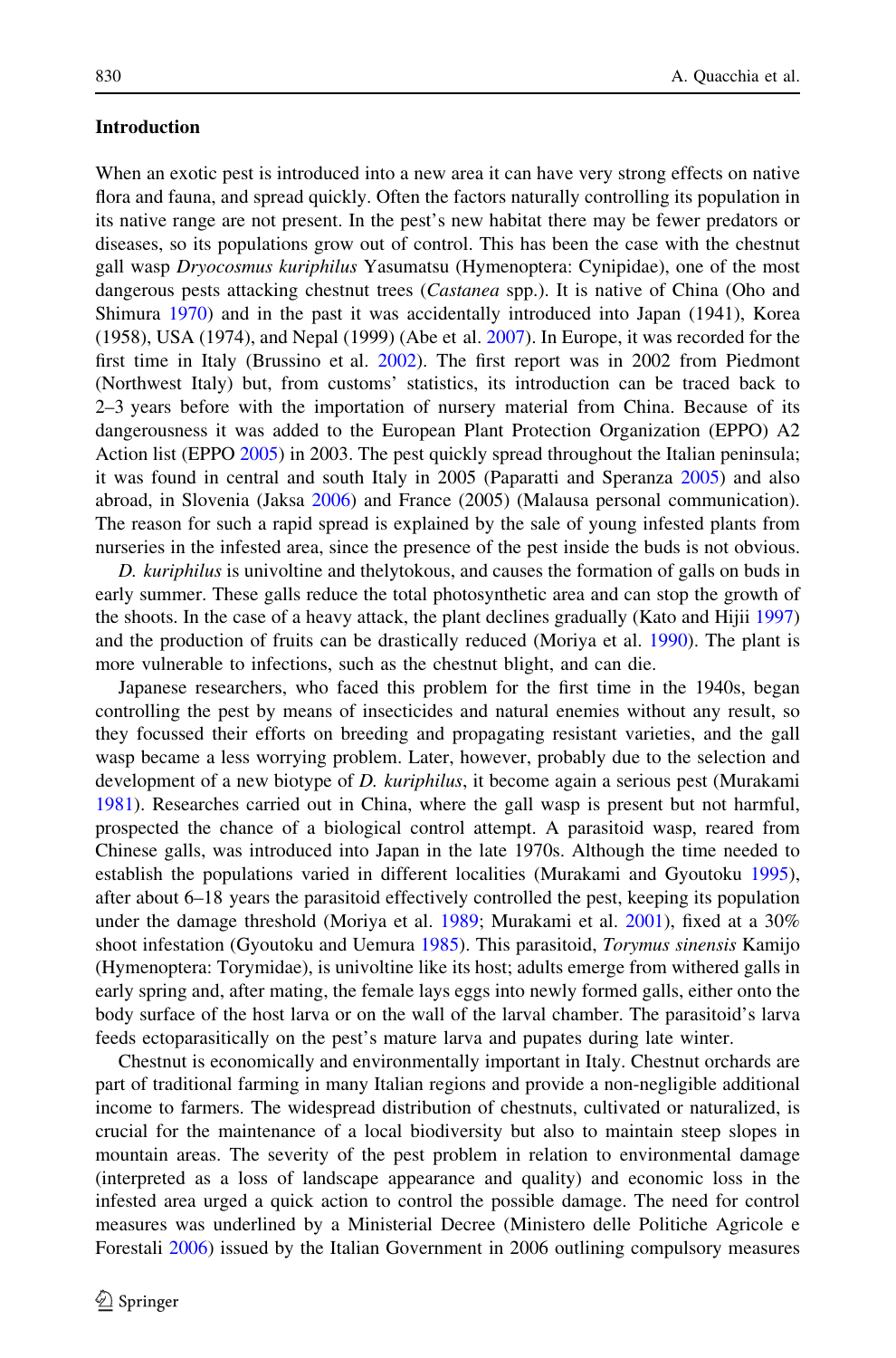## Introduction

When an exotic pest is introduced into a new area it can have very strong effects on native flora and fauna, and spread quickly. Often the factors naturally controlling its population in its native range are not present. In the pest's new habitat there may be fewer predators or diseases, so its populations grow out of control. This has been the case with the chestnut gall wasp Dryocosmus kuriphilus Yasumatsu (Hymenoptera: Cynipidae), one of the most dangerous pests attacking chestnut trees (*Castanea* spp.). It is native of China (Oho and Shimura [1970\)](#page-9-0) and in the past it was accidentally introduced into Japan (1941), Korea (1958), USA (1974), and Nepal (1999) (Abe et al. [2007\)](#page-8-0). In Europe, it was recorded for the first time in Italy (Brussino et al. [2002](#page-9-0)). The first report was in 2002 from Piedmont (Northwest Italy) but, from customs' statistics, its introduction can be traced back to 2–3 years before with the importation of nursery material from China. Because of its dangerousness it was added to the European Plant Protection Organization (EPPO) A2 Action list (EPPO [2005\)](#page-9-0) in 2003. The pest quickly spread throughout the Italian peninsula; it was found in central and south Italy in 2005 (Paparatti and Speranza [2005](#page-9-0)) and also abroad, in Slovenia (Jaksa [2006\)](#page-9-0) and France (2005) (Malausa personal communication). The reason for such a rapid spread is explained by the sale of young infested plants from nurseries in the infested area, since the presence of the pest inside the buds is not obvious.

D. kuriphilus is univoltine and thelytokous, and causes the formation of galls on buds in early summer. These galls reduce the total photosynthetic area and can stop the growth of the shoots. In the case of a heavy attack, the plant declines gradually (Kato and Hijii [1997](#page-9-0)) and the production of fruits can be drastically reduced (Moriya et al. [1990](#page-9-0)). The plant is more vulnerable to infections, such as the chestnut blight, and can die.

Japanese researchers, who faced this problem for the first time in the 1940s, began controlling the pest by means of insecticides and natural enemies without any result, so they focussed their efforts on breeding and propagating resistant varieties, and the gall wasp became a less worrying problem. Later, however, probably due to the selection and development of a new biotype of D. kuriphilus, it become again a serious pest (Murakami [1981\)](#page-9-0). Researches carried out in China, where the gall wasp is present but not harmful, prospected the chance of a biological control attempt. A parasitoid wasp, reared from Chinese galls, was introduced into Japan in the late 1970s. Although the time needed to establish the populations varied in different localities (Murakami and Gyoutoku [1995](#page-9-0)), after about 6–18 years the parasitoid effectively controlled the pest, keeping its population under the damage threshold (Moriya et al. [1989;](#page-9-0) Murakami et al. [2001\)](#page-9-0), fixed at a 30% shoot infestation (Gyoutoku and Uemura [1985](#page-9-0)). This parasitoid, Torymus sinensis Kamijo (Hymenoptera: Torymidae), is univoltine like its host; adults emerge from withered galls in early spring and, after mating, the female lays eggs into newly formed galls, either onto the body surface of the host larva or on the wall of the larval chamber. The parasitoid's larva feeds ectoparasitically on the pest's mature larva and pupates during late winter.

Chestnut is economically and environmentally important in Italy. Chestnut orchards are part of traditional farming in many Italian regions and provide a non-negligible additional income to farmers. The widespread distribution of chestnuts, cultivated or naturalized, is crucial for the maintenance of a local biodiversity but also to maintain steep slopes in mountain areas. The severity of the pest problem in relation to environmental damage (interpreted as a loss of landscape appearance and quality) and economic loss in the infested area urged a quick action to control the possible damage. The need for control measures was underlined by a Ministerial Decree (Ministero delle Politiche Agricole e Forestali [2006\)](#page-9-0) issued by the Italian Government in 2006 outlining compulsory measures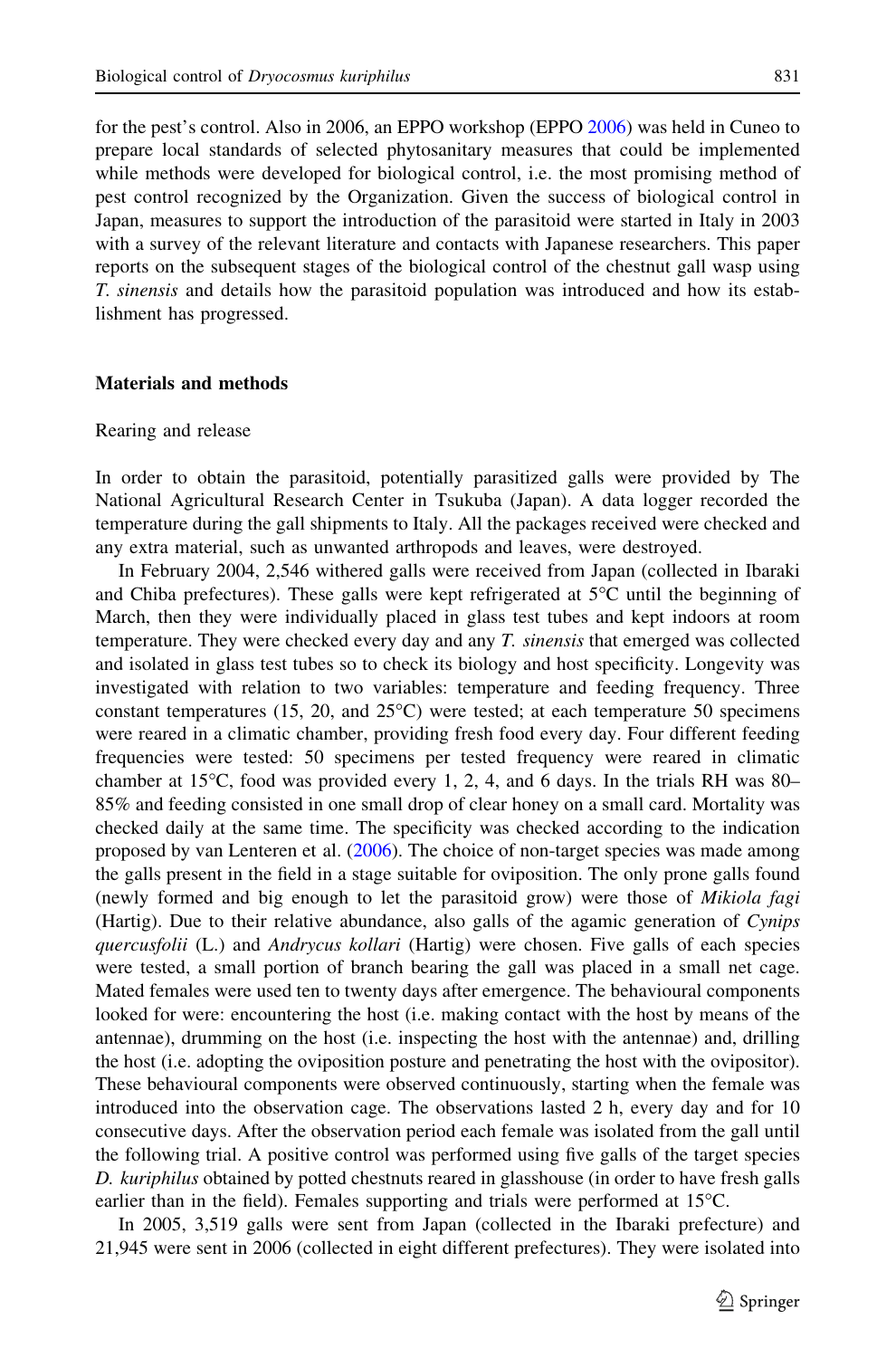for the pest's control. Also in 2006, an EPPO workshop (EPPO [2006](#page-9-0)) was held in Cuneo to prepare local standards of selected phytosanitary measures that could be implemented while methods were developed for biological control, i.e. the most promising method of pest control recognized by the Organization. Given the success of biological control in Japan, measures to support the introduction of the parasitoid were started in Italy in 2003 with a survey of the relevant literature and contacts with Japanese researchers. This paper reports on the subsequent stages of the biological control of the chestnut gall wasp using T. sinensis and details how the parasitoid population was introduced and how its establishment has progressed.

#### Materials and methods

## Rearing and release

In order to obtain the parasitoid, potentially parasitized galls were provided by The National Agricultural Research Center in Tsukuba (Japan). A data logger recorded the temperature during the gall shipments to Italy. All the packages received were checked and any extra material, such as unwanted arthropods and leaves, were destroyed.

In February 2004, 2,546 withered galls were received from Japan (collected in Ibaraki and Chiba prefectures). These galls were kept refrigerated at  $5^{\circ}$ C until the beginning of March, then they were individually placed in glass test tubes and kept indoors at room temperature. They were checked every day and any  $T$ . sinensis that emerged was collected and isolated in glass test tubes so to check its biology and host specificity. Longevity was investigated with relation to two variables: temperature and feeding frequency. Three constant temperatures (15, 20, and  $25^{\circ}$ C) were tested; at each temperature 50 specimens were reared in a climatic chamber, providing fresh food every day. Four different feeding frequencies were tested: 50 specimens per tested frequency were reared in climatic chamber at 15°C, food was provided every 1, 2, 4, and 6 days. In the trials RH was 80– 85% and feeding consisted in one small drop of clear honey on a small card. Mortality was checked daily at the same time. The specificity was checked according to the indication proposed by van Lenteren et al. [\(2006](#page-10-0)). The choice of non-target species was made among the galls present in the field in a stage suitable for oviposition. The only prone galls found (newly formed and big enough to let the parasitoid grow) were those of Mikiola fagi (Hartig). Due to their relative abundance, also galls of the agamic generation of Cynips quercusfolii (L.) and Andrycus kollari (Hartig) were chosen. Five galls of each species were tested, a small portion of branch bearing the gall was placed in a small net cage. Mated females were used ten to twenty days after emergence. The behavioural components looked for were: encountering the host (i.e. making contact with the host by means of the antennae), drumming on the host (i.e. inspecting the host with the antennae) and, drilling the host (i.e. adopting the oviposition posture and penetrating the host with the ovipositor). These behavioural components were observed continuously, starting when the female was introduced into the observation cage. The observations lasted 2 h, every day and for 10 consecutive days. After the observation period each female was isolated from the gall until the following trial. A positive control was performed using five galls of the target species D. kuriphilus obtained by potted chestnuts reared in glasshouse (in order to have fresh galls earlier than in the field). Females supporting and trials were performed at  $15^{\circ}$ C.

In 2005, 3,519 galls were sent from Japan (collected in the Ibaraki prefecture) and 21,945 were sent in 2006 (collected in eight different prefectures). They were isolated into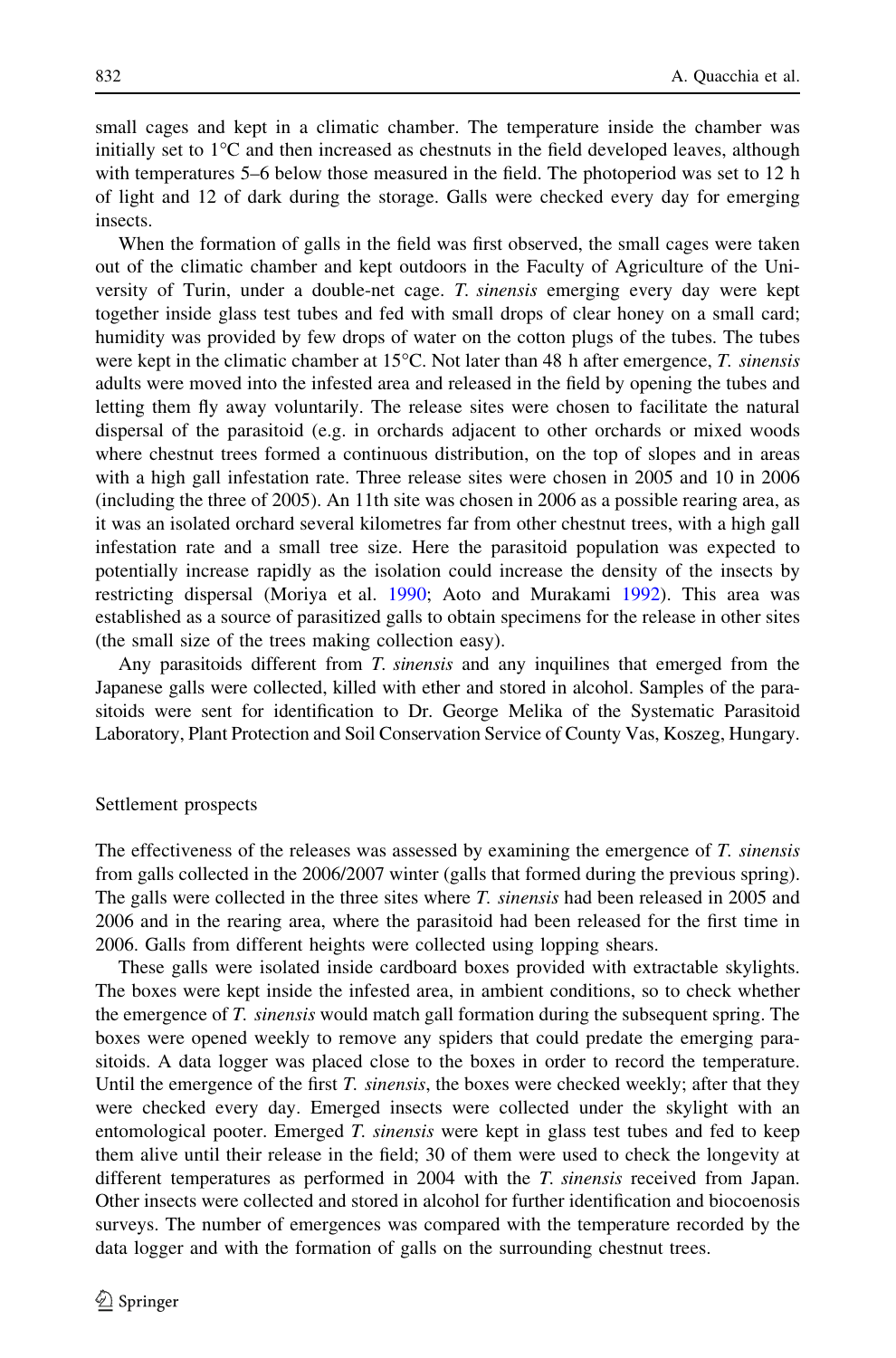small cages and kept in a climatic chamber. The temperature inside the chamber was initially set to  $1^{\circ}$ C and then increased as chestnuts in the field developed leaves, although with temperatures 5–6 below those measured in the field. The photoperiod was set to 12 h of light and 12 of dark during the storage. Galls were checked every day for emerging insects.

When the formation of galls in the field was first observed, the small cages were taken out of the climatic chamber and kept outdoors in the Faculty of Agriculture of the University of Turin, under a double-net cage. T. sinensis emerging every day were kept together inside glass test tubes and fed with small drops of clear honey on a small card; humidity was provided by few drops of water on the cotton plugs of the tubes. The tubes were kept in the climatic chamber at  $15^{\circ}$ C. Not later than 48 h after emergence, *T. sinensis* adults were moved into the infested area and released in the field by opening the tubes and letting them fly away voluntarily. The release sites were chosen to facilitate the natural dispersal of the parasitoid (e.g. in orchards adjacent to other orchards or mixed woods where chestnut trees formed a continuous distribution, on the top of slopes and in areas with a high gall infestation rate. Three release sites were chosen in 2005 and 10 in 2006 (including the three of 2005). An 11th site was chosen in 2006 as a possible rearing area, as it was an isolated orchard several kilometres far from other chestnut trees, with a high gall infestation rate and a small tree size. Here the parasitoid population was expected to potentially increase rapidly as the isolation could increase the density of the insects by restricting dispersal (Moriya et al. [1990](#page-9-0); Aoto and Murakami [1992\)](#page-8-0). This area was established as a source of parasitized galls to obtain specimens for the release in other sites (the small size of the trees making collection easy).

Any parasitoids different from T. sinensis and any inquilines that emerged from the Japanese galls were collected, killed with ether and stored in alcohol. Samples of the parasitoids were sent for identification to Dr. George Melika of the Systematic Parasitoid Laboratory, Plant Protection and Soil Conservation Service of County Vas, Koszeg, Hungary.

#### Settlement prospects

The effectiveness of the releases was assessed by examining the emergence of  $T$ . *sinensis* from galls collected in the 2006/2007 winter (galls that formed during the previous spring). The galls were collected in the three sites where T. sinensis had been released in 2005 and 2006 and in the rearing area, where the parasitoid had been released for the first time in 2006. Galls from different heights were collected using lopping shears.

These galls were isolated inside cardboard boxes provided with extractable skylights. The boxes were kept inside the infested area, in ambient conditions, so to check whether the emergence of T. sinensis would match gall formation during the subsequent spring. The boxes were opened weekly to remove any spiders that could predate the emerging parasitoids. A data logger was placed close to the boxes in order to record the temperature. Until the emergence of the first T. *sinensis*, the boxes were checked weekly; after that they were checked every day. Emerged insects were collected under the skylight with an entomological pooter. Emerged T. sinensis were kept in glass test tubes and fed to keep them alive until their release in the field; 30 of them were used to check the longevity at different temperatures as performed in 2004 with the T. sinensis received from Japan. Other insects were collected and stored in alcohol for further identification and biocoenosis surveys. The number of emergences was compared with the temperature recorded by the data logger and with the formation of galls on the surrounding chestnut trees.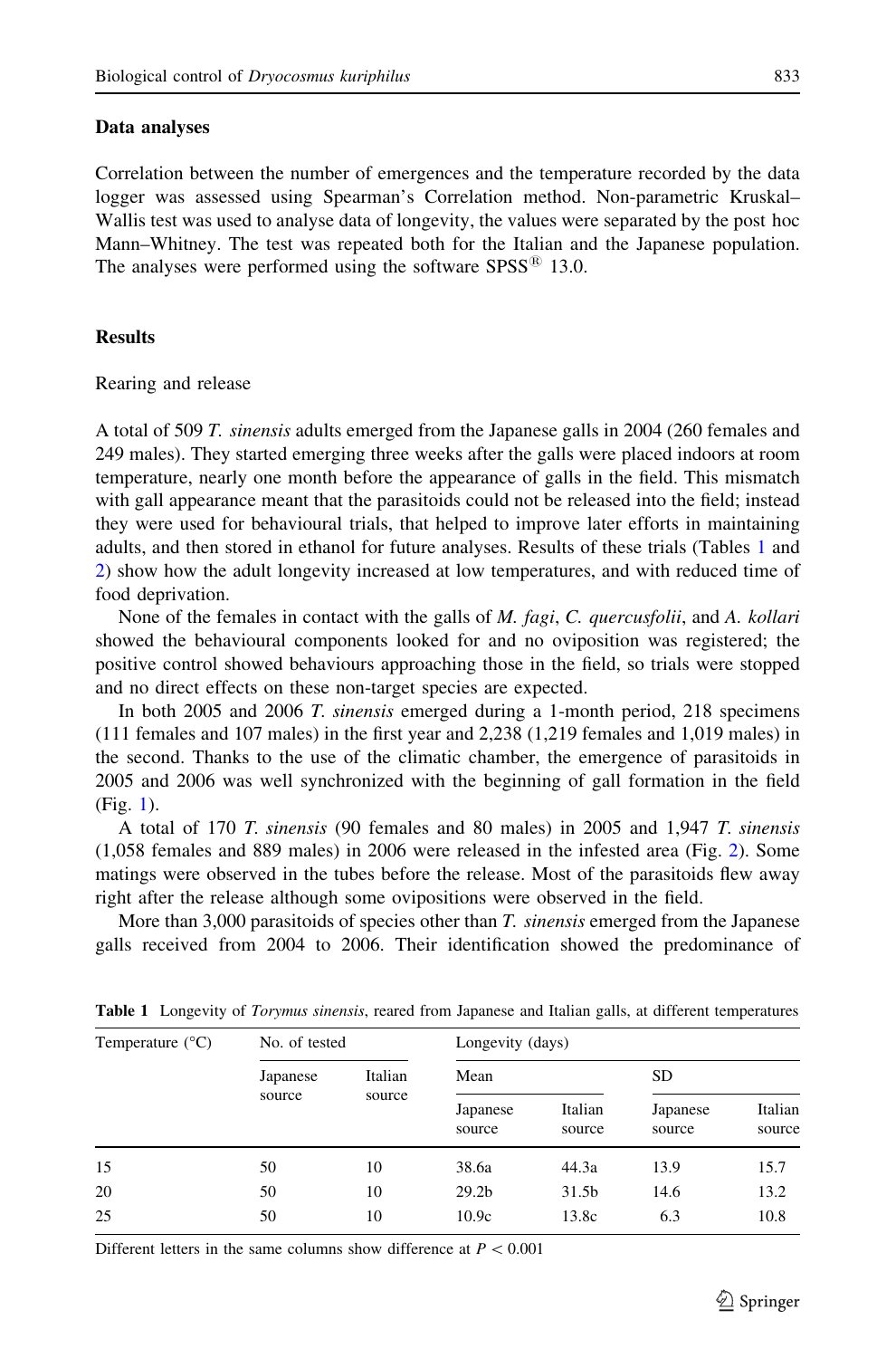Correlation between the number of emergences and the temperature recorded by the data logger was assessed using Spearman's Correlation method. Non-parametric Kruskal– Wallis test was used to analyse data of longevity, the values were separated by the post hoc Mann–Whitney. The test was repeated both for the Italian and the Japanese population. The analyses were performed using the software  $SPSS^{\textcircled{B}}$  13.0.

## **Results**

Rearing and release

A total of 509 T. sinensis adults emerged from the Japanese galls in 2004 (260 females and 249 males). They started emerging three weeks after the galls were placed indoors at room temperature, nearly one month before the appearance of galls in the field. This mismatch with gall appearance meant that the parasitoids could not be released into the field; instead they were used for behavioural trials, that helped to improve later efforts in maintaining adults, and then stored in ethanol for future analyses. Results of these trials (Tables 1 and [2](#page-5-0)) show how the adult longevity increased at low temperatures, and with reduced time of food deprivation.

None of the females in contact with the galls of *M. fagi, C. quercusfolii,* and *A. kollari* showed the behavioural components looked for and no oviposition was registered; the positive control showed behaviours approaching those in the field, so trials were stopped and no direct effects on these non-target species are expected.

In both 2005 and 2006 T. sinensis emerged during a 1-month period, 218 specimens (111 females and 107 males) in the first year and 2,238 (1,219 females and 1,019 males) in the second. Thanks to the use of the climatic chamber, the emergence of parasitoids in 2005 and 2006 was well synchronized with the beginning of gall formation in the field (Fig. [1\)](#page-5-0).

A total of 170 T. sinensis (90 females and 80 males) in 2005 and 1,947 T. sinensis (1,058 females and 889 males) in 2006 were released in the infested area (Fig. [2](#page-6-0)). Some matings were observed in the tubes before the release. Most of the parasitoids flew away right after the release although some ovipositions were observed in the field.

More than 3,000 parasitoids of species other than T. *sinensis* emerged from the Japanese galls received from 2004 to 2006. Their identification showed the predominance of

| Temperature $(^{\circ}C)$ | No. of tested      |                   | Longevity (days)   |                   |                    |                   |  |
|---------------------------|--------------------|-------------------|--------------------|-------------------|--------------------|-------------------|--|
|                           | Japanese<br>source | Italian<br>source | Mean               |                   | <b>SD</b>          |                   |  |
|                           |                    |                   | Japanese<br>source | Italian<br>source | Japanese<br>source | Italian<br>source |  |
| 15                        | 50                 | 10                | 38.6a              | 44.3a             | 13.9               | 15.7              |  |
| 20                        | 50                 | 10                | 29.2 <sub>b</sub>  | 31.5b             | 14.6               | 13.2              |  |
| 25                        | 50                 | 10                | 10.9c              | 13.8c             | 6.3                | 10.8              |  |

Table 1 Longevity of *Torymus sinensis*, reared from Japanese and Italian galls, at different temperatures

Different letters in the same columns show difference at  $P\leq0.001$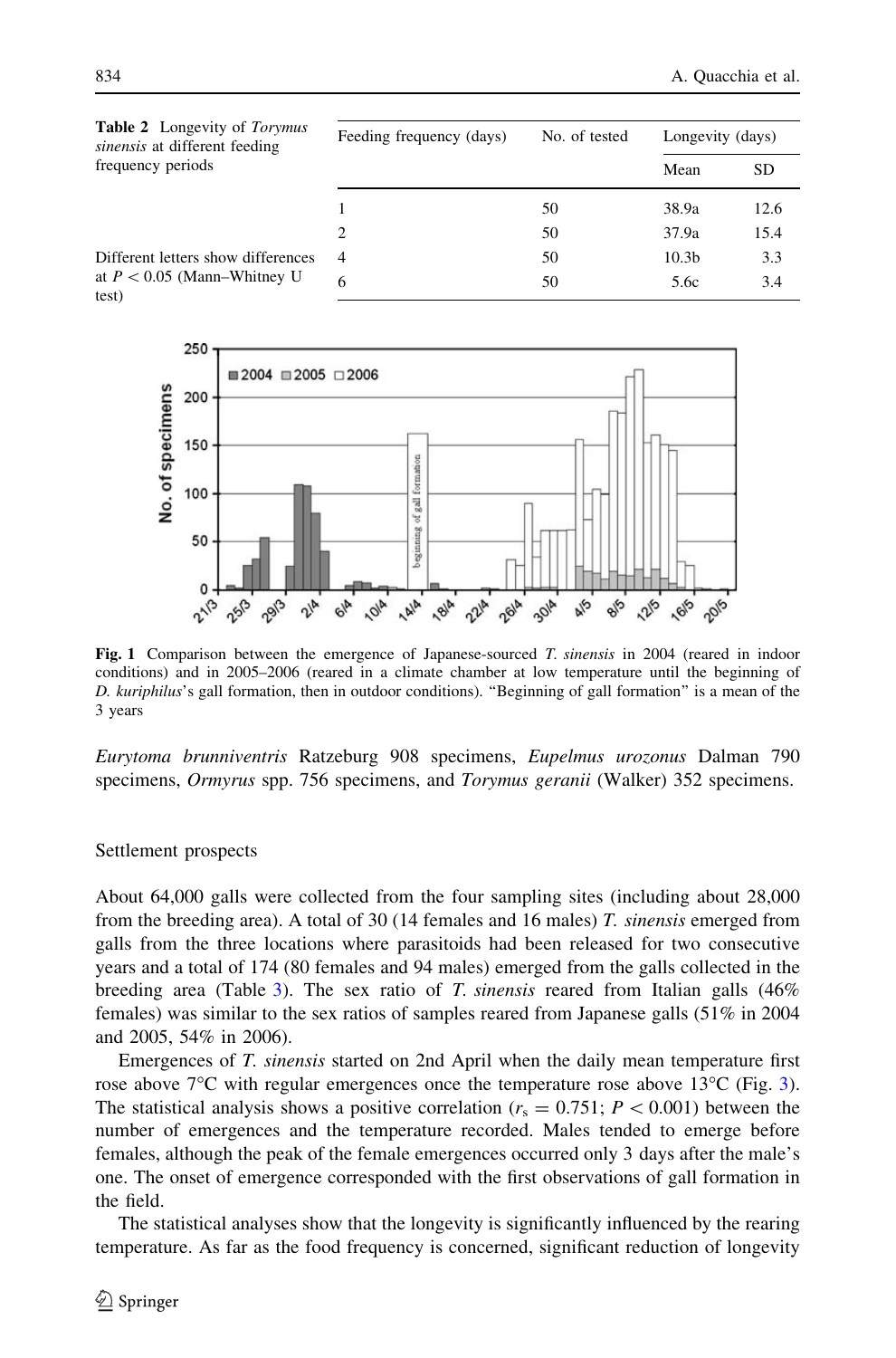<span id="page-5-0"></span>

| <b>Table 2</b> Longevity of Torymus<br>sinensis at different feeding | Feeding frequency (days) | No. of tested | Longevity (days)  |      |
|----------------------------------------------------------------------|--------------------------|---------------|-------------------|------|
| frequency periods                                                    |                          |               | Mean              | SD.  |
|                                                                      |                          | 50            | 38.9a             | 12.6 |
|                                                                      |                          | 50            | 37.9a             | 15.4 |
| Different letters show differences                                   | $\overline{4}$           | 50            | 10.3 <sub>b</sub> | 3.3  |
| at $P < 0.05$ (Mann–Whitney U<br>test)                               | 6                        | 50            | 5.6c              | 3.4  |



Fig. 1 Comparison between the emergence of Japanese-sourced T. sinensis in 2004 (reared in indoor conditions) and in 2005–2006 (reared in a climate chamber at low temperature until the beginning of D. kuriphilus's gall formation, then in outdoor conditions). "Beginning of gall formation" is a mean of the 3 years

Eurytoma brunniventris Ratzeburg 908 specimens, Eupelmus urozonus Dalman 790 specimens, Ormyrus spp. 756 specimens, and Torymus geranii (Walker) 352 specimens.

## Settlement prospects

About 64,000 galls were collected from the four sampling sites (including about 28,000 from the breeding area). A total of 30 (14 females and 16 males) T. sinensis emerged from galls from the three locations where parasitoids had been released for two consecutive years and a total of 174 (80 females and 94 males) emerged from the galls collected in the breeding area (Table [3\)](#page-6-0). The sex ratio of T. sinensis reared from Italian galls  $(46\%$ females) was similar to the sex ratios of samples reared from Japanese galls (51% in 2004 and 2005, 54% in 2006).

Emergences of T. sinensis started on 2nd April when the daily mean temperature first rose above  $7^{\circ}\text{C}$  with regular emergences once the temperature rose above  $13^{\circ}\text{C}$  $13^{\circ}\text{C}$  $13^{\circ}\text{C}$  (Fig. 3). The statistical analysis shows a positive correlation ( $r_s = 0.751$ ;  $P \lt 0.001$ ) between the number of emergences and the temperature recorded. Males tended to emerge before females, although the peak of the female emergences occurred only 3 days after the male's one. The onset of emergence corresponded with the first observations of gall formation in the field.

The statistical analyses show that the longevity is significantly influenced by the rearing temperature. As far as the food frequency is concerned, significant reduction of longevity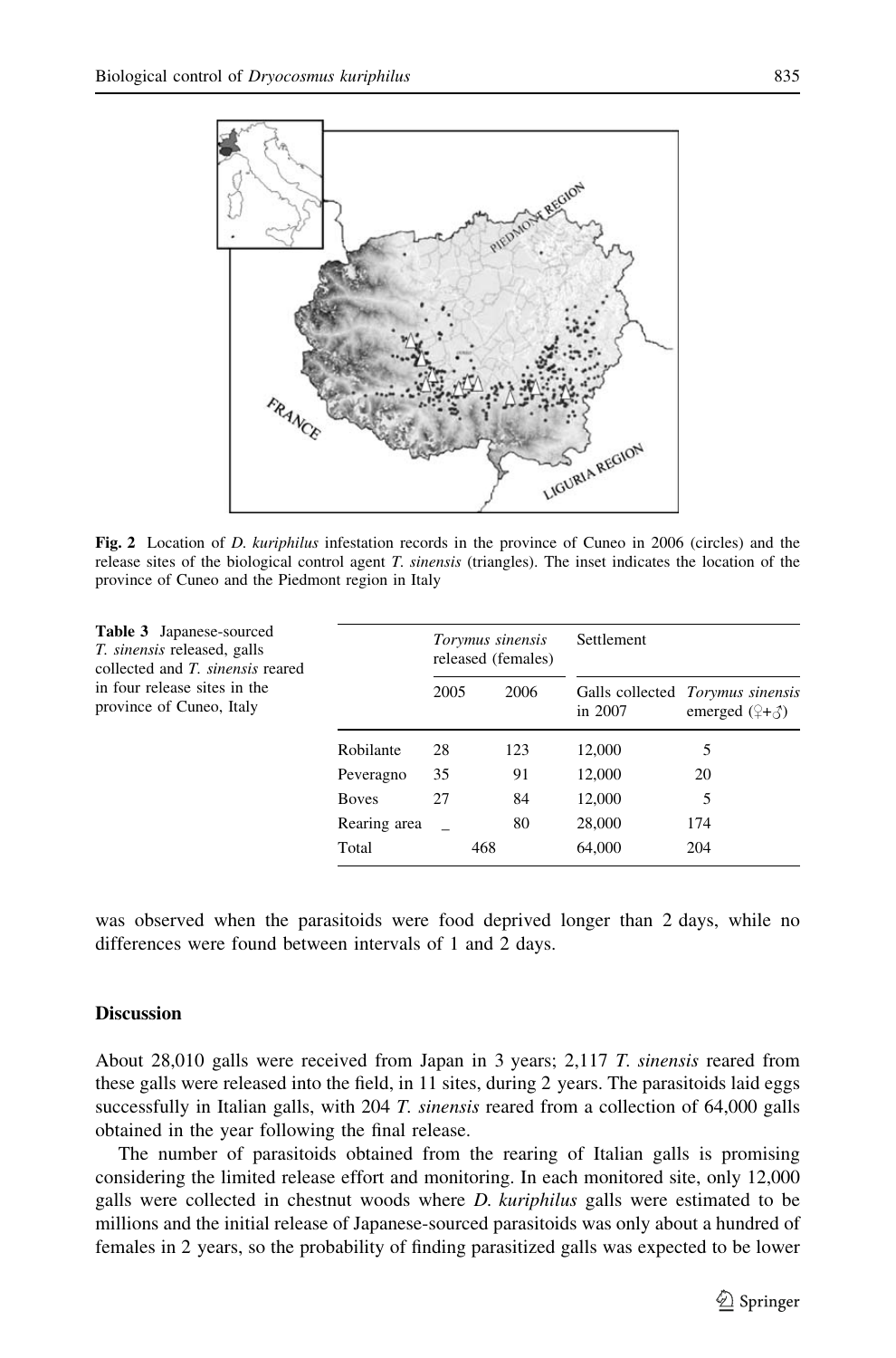<span id="page-6-0"></span>

Fig. 2 Location of D. kuriphilus infestation records in the province of Cuneo in 2006 (circles) and the release sites of the biological control agent T. sinensis (triangles). The inset indicates the location of the province of Cuneo and the Piedmont region in Italy

| <b>Table 3</b> Japanese-sourced<br><i>T. sinensis</i> released, galls<br>collected and <i>T. sinensis</i> reared |              | Torymus sinensis<br>released (females) |      | Settlement |                                                       |
|------------------------------------------------------------------------------------------------------------------|--------------|----------------------------------------|------|------------|-------------------------------------------------------|
| in four release sites in the<br>province of Cuneo, Italy                                                         |              | 2005                                   | 2006 | in 2007    | Galls collected Torymus sinensis<br>emerged $(2+\xi)$ |
|                                                                                                                  | Robilante    | 28                                     | 123  | 12,000     | 5                                                     |
|                                                                                                                  | Peveragno    | 35                                     | 91   | 12,000     | 20                                                    |
|                                                                                                                  | <b>Boves</b> | 27                                     | 84   | 12,000     | 5                                                     |
|                                                                                                                  | Rearing area |                                        | 80   | 28,000     | 174                                                   |
|                                                                                                                  | Total        |                                        | 468  | 64,000     | 204                                                   |

was observed when the parasitoids were food deprived longer than 2 days, while no differences were found between intervals of 1 and 2 days.

# **Discussion**

About 28,010 galls were received from Japan in 3 years; 2,117 T. sinensis reared from these galls were released into the field, in 11 sites, during 2 years. The parasitoids laid eggs successfully in Italian galls, with 204 T. *sinensis* reared from a collection of 64,000 galls obtained in the year following the final release.

The number of parasitoids obtained from the rearing of Italian galls is promising considering the limited release effort and monitoring. In each monitored site, only 12,000 galls were collected in chestnut woods where D. kuriphilus galls were estimated to be millions and the initial release of Japanese-sourced parasitoids was only about a hundred of females in 2 years, so the probability of finding parasitized galls was expected to be lower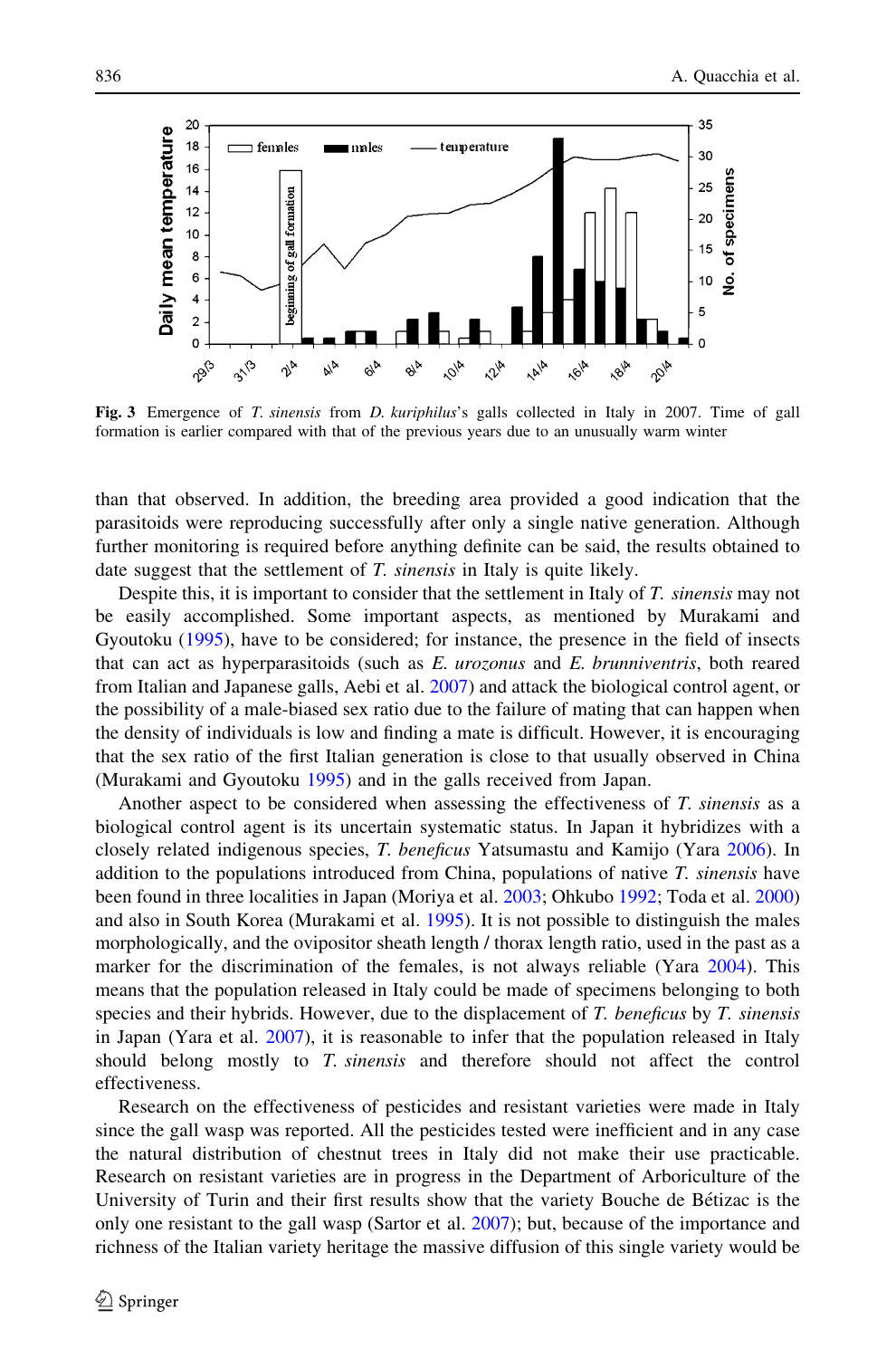<span id="page-7-0"></span>

Fig. 3 Emergence of T. sinensis from D. kuriphilus's galls collected in Italy in 2007. Time of gall formation is earlier compared with that of the previous years due to an unusually warm winter

than that observed. In addition, the breeding area provided a good indication that the parasitoids were reproducing successfully after only a single native generation. Although further monitoring is required before anything definite can be said, the results obtained to date suggest that the settlement of T. sinensis in Italy is quite likely.

Despite this, it is important to consider that the settlement in Italy of T. sinensis may not be easily accomplished. Some important aspects, as mentioned by Murakami and Gyoutoku ([1995\)](#page-9-0), have to be considered; for instance, the presence in the field of insects that can act as hyperparasitoids (such as  $E$ . urozonus and  $E$ . brunniventris, both reared from Italian and Japanese galls, Aebi et al. [2007\)](#page-8-0) and attack the biological control agent, or the possibility of a male-biased sex ratio due to the failure of mating that can happen when the density of individuals is low and finding a mate is difficult. However, it is encouraging that the sex ratio of the first Italian generation is close to that usually observed in China (Murakami and Gyoutoku [1995](#page-9-0)) and in the galls received from Japan.

Another aspect to be considered when assessing the effectiveness of T. sinensis as a biological control agent is its uncertain systematic status. In Japan it hybridizes with a closely related indigenous species, T. beneficus Yatsumastu and Kamijo (Yara [2006\)](#page-10-0). In addition to the populations introduced from China, populations of native T. sinensis have been found in three localities in Japan (Moriya et al. [2003;](#page-9-0) Ohkubo [1992](#page-9-0); Toda et al. [2000](#page-10-0)) and also in South Korea (Murakami et al. [1995\)](#page-9-0). It is not possible to distinguish the males morphologically, and the ovipositor sheath length / thorax length ratio, used in the past as a marker for the discrimination of the females, is not always reliable (Yara [2004](#page-10-0)). This means that the population released in Italy could be made of specimens belonging to both species and their hybrids. However, due to the displacement of  $T$ . *beneficus* by  $T$ . *sinensis* in Japan (Yara et al. [2007](#page-10-0)), it is reasonable to infer that the population released in Italy should belong mostly to T. sinensis and therefore should not affect the control effectiveness.

Research on the effectiveness of pesticides and resistant varieties were made in Italy since the gall wasp was reported. All the pesticides tested were inefficient and in any case the natural distribution of chestnut trees in Italy did not make their use practicable. Research on resistant varieties are in progress in the Department of Arboriculture of the University of Turin and their first results show that the variety Bouche de Bétizac is the only one resistant to the gall wasp (Sartor et al. [2007](#page-9-0)); but, because of the importance and richness of the Italian variety heritage the massive diffusion of this single variety would be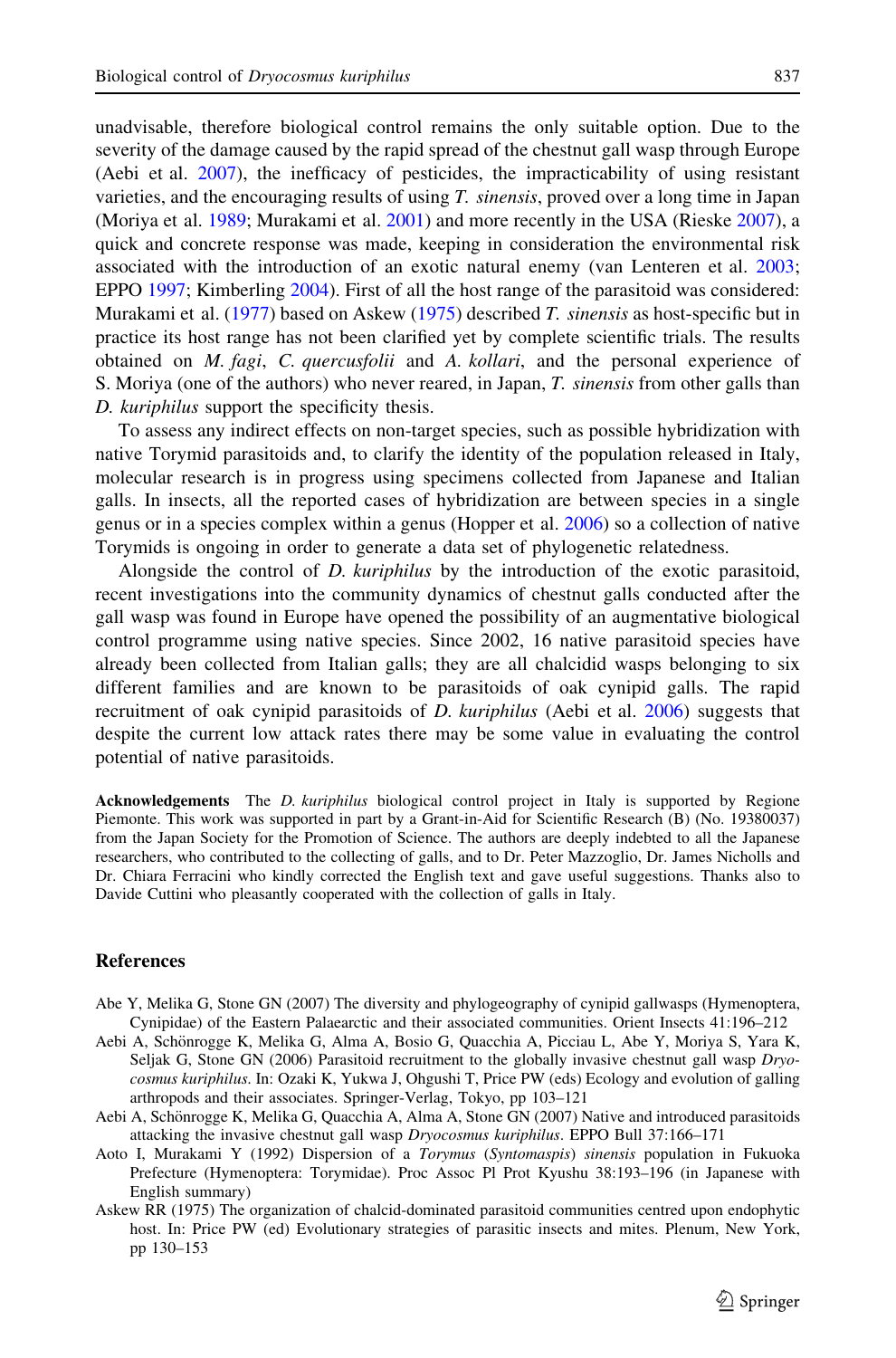<span id="page-8-0"></span>unadvisable, therefore biological control remains the only suitable option. Due to the severity of the damage caused by the rapid spread of the chestnut gall wasp through Europe (Aebi et al. 2007), the inefficacy of pesticides, the impracticability of using resistant varieties, and the encouraging results of using  $T$ , *sinensis*, proved over a long time in Japan (Moriya et al. [1989;](#page-9-0) Murakami et al. [2001](#page-9-0)) and more recently in the USA (Rieske [2007](#page-9-0)), a quick and concrete response was made, keeping in consideration the environmental risk associated with the introduction of an exotic natural enemy (van Lenteren et al. [2003;](#page-10-0) EPPO [1997](#page-9-0); Kimberling [2004](#page-9-0)). First of all the host range of the parasitoid was considered: Murakami et al.  $(1977)$  $(1977)$  based on Askew  $(1975)$  described T. sinensis as host-specific but in practice its host range has not been clarified yet by complete scientific trials. The results obtained on M. fagi, C. quercusfolii and A. kollari, and the personal experience of S. Moriya (one of the authors) who never reared, in Japan, T. sinensis from other galls than D. kuriphilus support the specificity thesis.

To assess any indirect effects on non-target species, such as possible hybridization with native Torymid parasitoids and, to clarify the identity of the population released in Italy, molecular research is in progress using specimens collected from Japanese and Italian galls. In insects, all the reported cases of hybridization are between species in a single genus or in a species complex within a genus (Hopper et al. [2006\)](#page-9-0) so a collection of native Torymids is ongoing in order to generate a data set of phylogenetic relatedness.

Alongside the control of D. kuriphilus by the introduction of the exotic parasitoid, recent investigations into the community dynamics of chestnut galls conducted after the gall wasp was found in Europe have opened the possibility of an augmentative biological control programme using native species. Since 2002, 16 native parasitoid species have already been collected from Italian galls; they are all chalcidid wasps belonging to six different families and are known to be parasitoids of oak cynipid galls. The rapid recruitment of oak cynipid parasitoids of *D. kuriphilus* (Aebi et al. 2006) suggests that despite the current low attack rates there may be some value in evaluating the control potential of native parasitoids.

Acknowledgements The *D. kuriphilus* biological control project in Italy is supported by Regione Piemonte. This work was supported in part by a Grant-in-Aid for Scientific Research (B) (No. 19380037) from the Japan Society for the Promotion of Science. The authors are deeply indebted to all the Japanese researchers, who contributed to the collecting of galls, and to Dr. Peter Mazzoglio, Dr. James Nicholls and Dr. Chiara Ferracini who kindly corrected the English text and gave useful suggestions. Thanks also to Davide Cuttini who pleasantly cooperated with the collection of galls in Italy.

## **References**

- Abe Y, Melika G, Stone GN (2007) The diversity and phylogeography of cynipid gallwasps (Hymenoptera, Cynipidae) of the Eastern Palaearctic and their associated communities. Orient Insects 41:196–212
- Aebi A, Schönrogge K, Melika G, Alma A, Bosio G, Quacchia A, Picciau L, Abe Y, Moriya S, Yara K, Seljak G, Stone GN (2006) Parasitoid recruitment to the globally invasive chestnut gall wasp Dryocosmus kuriphilus. In: Ozaki K, Yukwa J, Ohgushi T, Price PW (eds) Ecology and evolution of galling arthropods and their associates. Springer-Verlag, Tokyo, pp 103–121
- Aebi A, Schönrogge K, Melika G, Quacchia A, Alma A, Stone GN (2007) Native and introduced parasitoids attacking the invasive chestnut gall wasp Dryocosmus kuriphilus. EPPO Bull 37:166–171
- Aoto I, Murakami Y (1992) Dispersion of a Torymus (Syntomaspis) sinensis population in Fukuoka Prefecture (Hymenoptera: Torymidae). Proc Assoc Pl Prot Kyushu 38:193–196 (in Japanese with English summary)
- Askew RR (1975) The organization of chalcid-dominated parasitoid communities centred upon endophytic host. In: Price PW (ed) Evolutionary strategies of parasitic insects and mites. Plenum, New York, pp 130–153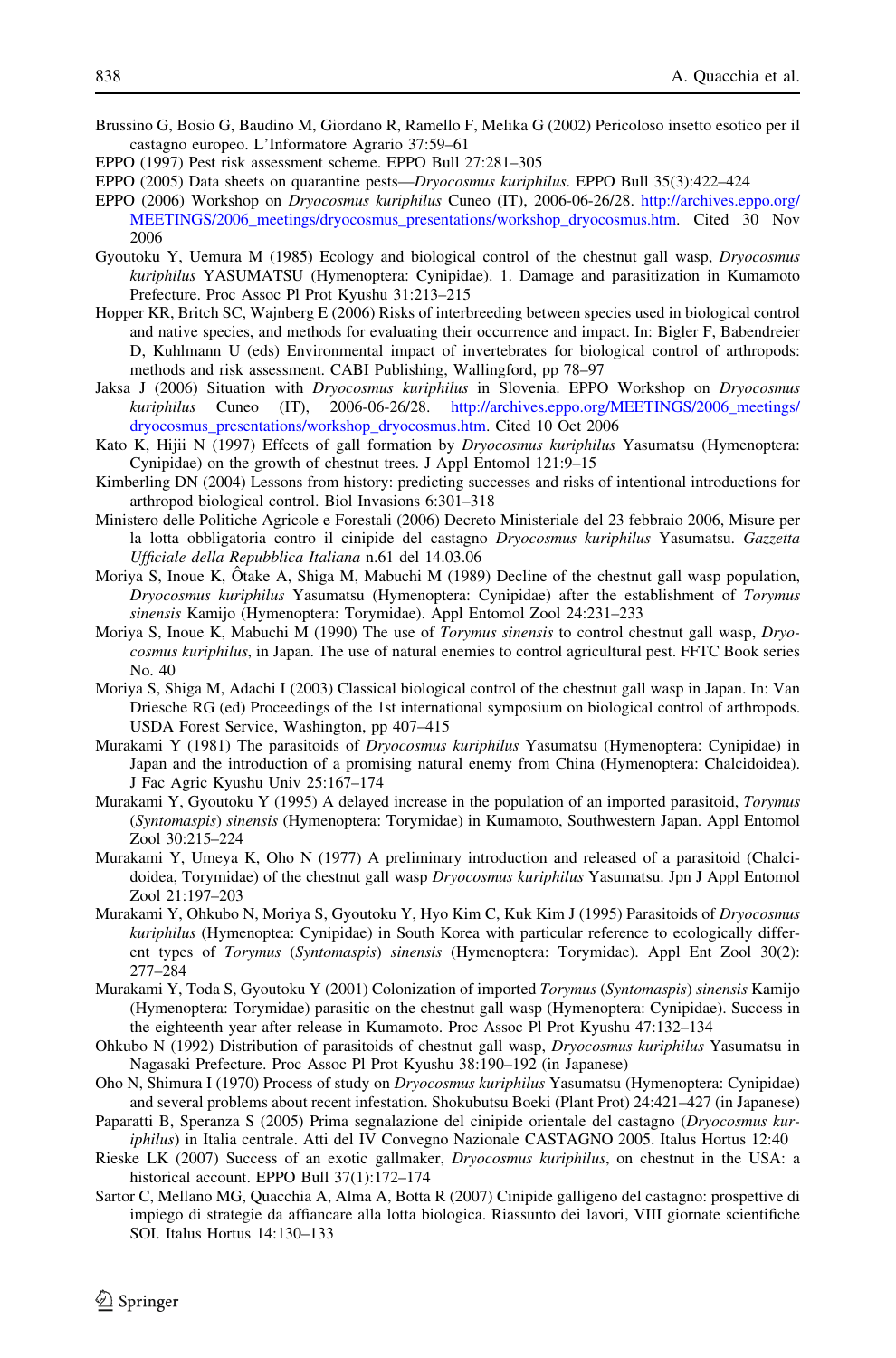- <span id="page-9-0"></span>Brussino G, Bosio G, Baudino M, Giordano R, Ramello F, Melika G (2002) Pericoloso insetto esotico per il castagno europeo. L'Informatore Agrario 37:59–61
- EPPO (1997) Pest risk assessment scheme. EPPO Bull 27:281–305
- EPPO (2005) Data sheets on quarantine pests—Dryocosmus kuriphilus. EPPO Bull 35(3):422-424
- EPPO (2006) Workshop on Dryocosmus kuriphilus Cuneo (IT), 2006-06-26/28. [http://archives.eppo.org/](http://archives.eppo.org/MEETINGS/2006_meetings/dryocosmus_presentations/workshop_dryocosmus.htm) [MEETINGS/2006\\_meetings/dryocosmus\\_presentations/workshop\\_dryocosmus.htm.](http://archives.eppo.org/MEETINGS/2006_meetings/dryocosmus_presentations/workshop_dryocosmus.htm) Cited 30 Nov 2006
- Gyoutoku Y, Uemura M (1985) Ecology and biological control of the chestnut gall wasp, Dryocosmus kuriphilus YASUMATSU (Hymenoptera: Cynipidae). 1. Damage and parasitization in Kumamoto Prefecture. Proc Assoc Pl Prot Kyushu 31:213–215
- Hopper KR, Britch SC, Wajnberg E (2006) Risks of interbreeding between species used in biological control and native species, and methods for evaluating their occurrence and impact. In: Bigler F, Babendreier D, Kuhlmann U (eds) Environmental impact of invertebrates for biological control of arthropods: methods and risk assessment. CABI Publishing, Wallingford, pp 78–97
- Jaksa J (2006) Situation with *Dryocosmus kuriphilus* in Slovenia. EPPO Workshop on *Dryocosmus kuriphilus* Cuneo (IT), 2006-06-26/28. http://archives.eppo.org/MEETINGS/2006 meetings/ 2006-06-26/28. [http://archives.eppo.org/MEETINGS/2006\\_meetings/](http://archives.eppo.org/MEETINGS/2006_meetings/dryocosmus_presentations/workshop_dryocosmus.htm) [dryocosmus\\_presentations/workshop\\_dryocosmus.htm.](http://archives.eppo.org/MEETINGS/2006_meetings/dryocosmus_presentations/workshop_dryocosmus.htm) Cited 10 Oct 2006
- Kato K, Hijii N (1997) Effects of gall formation by Dryocosmus kuriphilus Yasumatsu (Hymenoptera: Cynipidae) on the growth of chestnut trees. J Appl Entomol 121:9–15
- Kimberling DN (2004) Lessons from history: predicting successes and risks of intentional introductions for arthropod biological control. Biol Invasions 6:301–318
- Ministero delle Politiche Agricole e Forestali (2006) Decreto Ministeriale del 23 febbraio 2006, Misure per la lotta obbligatoria contro il cinipide del castagno *Dryocosmus kuriphilus* Yasumatsu. Gazzetta Ufficiale della Repubblica Italiana n.61 del 14.03.06
- Moriya S, Inoue K, Ôtake A, Shiga M, Mabuchi M (1989) Decline of the chestnut gall wasp population, Dryocosmus kuriphilus Yasumatsu (Hymenoptera: Cynipidae) after the establishment of Torymus sinensis Kamijo (Hymenoptera: Torymidae). Appl Entomol Zool 24:231–233
- Moriya S, Inoue K, Mabuchi M (1990) The use of *Torymus sinensis* to control chestnut gall wasp, *Dryo*cosmus kuriphilus, in Japan. The use of natural enemies to control agricultural pest. FFTC Book series No. 40
- Moriya S, Shiga M, Adachi I (2003) Classical biological control of the chestnut gall wasp in Japan. In: Van Driesche RG (ed) Proceedings of the 1st international symposium on biological control of arthropods. USDA Forest Service, Washington, pp 407–415
- Murakami Y (1981) The parasitoids of Dryocosmus kuriphilus Yasumatsu (Hymenoptera: Cynipidae) in Japan and the introduction of a promising natural enemy from China (Hymenoptera: Chalcidoidea). J Fac Agric Kyushu Univ 25:167–174
- Murakami Y, Gyoutoku Y (1995) A delayed increase in the population of an imported parasitoid, Torymus (Syntomaspis) sinensis (Hymenoptera: Torymidae) in Kumamoto, Southwestern Japan. Appl Entomol Zool 30:215–224
- Murakami Y, Umeya K, Oho N (1977) A preliminary introduction and released of a parasitoid (Chalcidoidea, Torymidae) of the chestnut gall wasp Dryocosmus kuriphilus Yasumatsu. Jpn J Appl Entomol Zool 21:197–203
- Murakami Y, Ohkubo N, Moriya S, Gyoutoku Y, Hyo Kim C, Kuk Kim J (1995) Parasitoids of Dryocosmus kuriphilus (Hymenoptea: Cynipidae) in South Korea with particular reference to ecologically different types of Torymus (Syntomaspis) sinensis (Hymenoptera: Torymidae). Appl Ent Zool 30(2): 277–284
- Murakami Y, Toda S, Gyoutoku Y (2001) Colonization of imported Torymus (Syntomaspis) sinensis Kamijo (Hymenoptera: Torymidae) parasitic on the chestnut gall wasp (Hymenoptera: Cynipidae). Success in the eighteenth year after release in Kumamoto. Proc Assoc Pl Prot Kyushu 47:132–134
- Ohkubo N (1992) Distribution of parasitoids of chestnut gall wasp, Dryocosmus kuriphilus Yasumatsu in Nagasaki Prefecture. Proc Assoc Pl Prot Kyushu 38:190–192 (in Japanese)
- Oho N, Shimura I (1970) Process of study on Dryocosmus kuriphilus Yasumatsu (Hymenoptera: Cynipidae) and several problems about recent infestation. Shokubutsu Boeki (Plant Prot) 24:421–427 (in Japanese)
- Paparatti B, Speranza S (2005) Prima segnalazione del cinipide orientale del castagno (Dryocosmus kuriphilus) in Italia centrale. Atti del IV Convegno Nazionale CASTAGNO 2005. Italus Hortus 12:40
- Rieske LK (2007) Success of an exotic gallmaker, Dryocosmus kuriphilus, on chestnut in the USA: a historical account. EPPO Bull 37(1):172–174
- Sartor C, Mellano MG, Quacchia A, Alma A, Botta R (2007) Cinipide galligeno del castagno: prospettive di impiego di strategie da affiancare alla lotta biologica. Riassunto dei lavori, VIII giornate scientifiche SOI. Italus Hortus 14:130–133